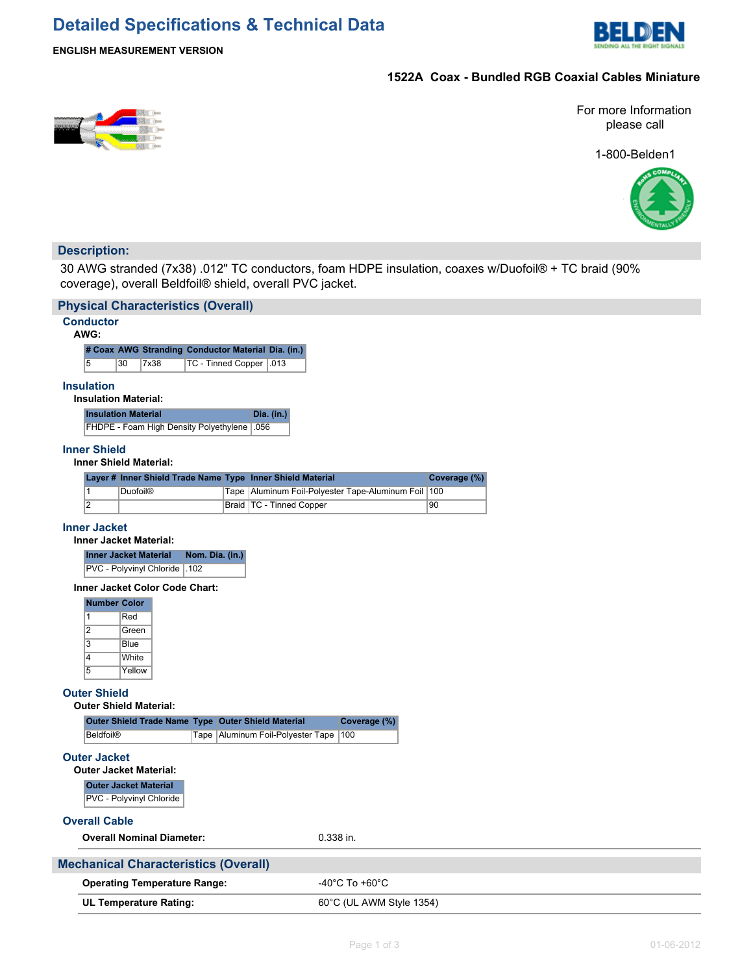# **Detailed Specifications & Technical Data**



## **ENGLISH MEASUREMENT VERSION**

## **1522A Coax - Bundled RGB Coaxial Cables Miniature**



1-800-Belden1



## **Description:**

30 AWG stranded (7x38) .012" TC conductors, foam HDPE insulation, coaxes w/Duofoil® + TC braid (90% coverage), overall Beldfoil® shield, overall PVC jacket.

|                                                                      | <b>Physical Characteristics (Overall)</b>          |                 |      |                                                            |           |                                                |              |  |
|----------------------------------------------------------------------|----------------------------------------------------|-----------------|------|------------------------------------------------------------|-----------|------------------------------------------------|--------------|--|
| <b>Conductor</b><br>AWG:                                             |                                                    |                 |      |                                                            |           |                                                |              |  |
| # Coax AWG Stranding Conductor Material Dia. (in.)                   |                                                    |                 |      |                                                            |           |                                                |              |  |
| 5<br>30<br>TC - Tinned Copper   013<br>7x38                          |                                                    |                 |      |                                                            |           |                                                |              |  |
| <b>Insulation</b>                                                    | <b>Insulation Material:</b>                        |                 |      |                                                            |           |                                                |              |  |
|                                                                      | <b>Insulation Material</b>                         |                 |      | Dia. (in.)                                                 |           |                                                |              |  |
|                                                                      | FHDPE - Foam High Density Polyethylene             |                 |      | .056                                                       |           |                                                |              |  |
| <b>Inner Shield</b>                                                  | <b>Inner Shield Material:</b>                      |                 |      |                                                            |           |                                                |              |  |
|                                                                      |                                                    |                 |      | Layer # Inner Shield Trade Name Type Inner Shield Material |           |                                                | Coverage (%) |  |
| $\mathbf{1}$                                                         | <b>Duofoil®</b>                                    |                 | Tape |                                                            |           | Aluminum Foil-Polyester Tape-Aluminum Foil 100 |              |  |
| $\overline{2}$                                                       |                                                    |                 |      | Braid   TC - Tinned Copper                                 |           |                                                | 90           |  |
| <b>Inner Jacket</b>                                                  | <b>Inner Jacket Material:</b>                      |                 |      |                                                            |           |                                                |              |  |
|                                                                      | <b>Inner Jacket Material</b>                       | Nom. Dia. (in.) |      |                                                            |           |                                                |              |  |
|                                                                      | PVC - Polyvinyl Chloride   102                     |                 |      |                                                            |           |                                                |              |  |
|                                                                      | Inner Jacket Color Code Chart:                     |                 |      |                                                            |           |                                                |              |  |
| <b>Number Color</b><br>$\mathbf{1}$<br>$\overline{2}$<br>3<br>4<br>5 | Red<br>Green<br>Blue<br>White<br>Yellow            |                 |      |                                                            |           |                                                |              |  |
| <b>Outer Shield</b>                                                  | <b>Outer Shield Material:</b>                      |                 |      |                                                            |           |                                                |              |  |
|                                                                      | Outer Shield Trade Name Type Outer Shield Material |                 |      |                                                            |           | Coverage (%)                                   |              |  |
| <b>Beldfoil®</b>                                                     |                                                    |                 |      | Tape   Aluminum Foil-Polyester Tape                        |           | 100                                            |              |  |
| <b>Outer Jacket</b><br><b>Outer Jacket Material:</b>                 |                                                    |                 |      |                                                            |           |                                                |              |  |
|                                                                      | <b>Outer Jacket Material</b>                       |                 |      |                                                            |           |                                                |              |  |
|                                                                      | PVC - Polyvinyl Chloride                           |                 |      |                                                            |           |                                                |              |  |
| <b>Overall Cable</b>                                                 |                                                    |                 |      |                                                            |           |                                                |              |  |
|                                                                      | <b>Overall Nominal Diameter:</b>                   |                 |      |                                                            | 0.338 in. |                                                |              |  |
|                                                                      | <b>Mechanical Characteristics (Overall)</b>        |                 |      |                                                            |           |                                                |              |  |
|                                                                      | <b>Operating Temperature Range:</b>                |                 |      |                                                            |           | $-40^{\circ}$ C To $+60^{\circ}$ C             |              |  |
|                                                                      | <b>UL Temperature Rating:</b>                      |                 |      |                                                            |           | 60°C (UL AWM Style 1354)                       |              |  |
|                                                                      |                                                    |                 |      |                                                            |           |                                                |              |  |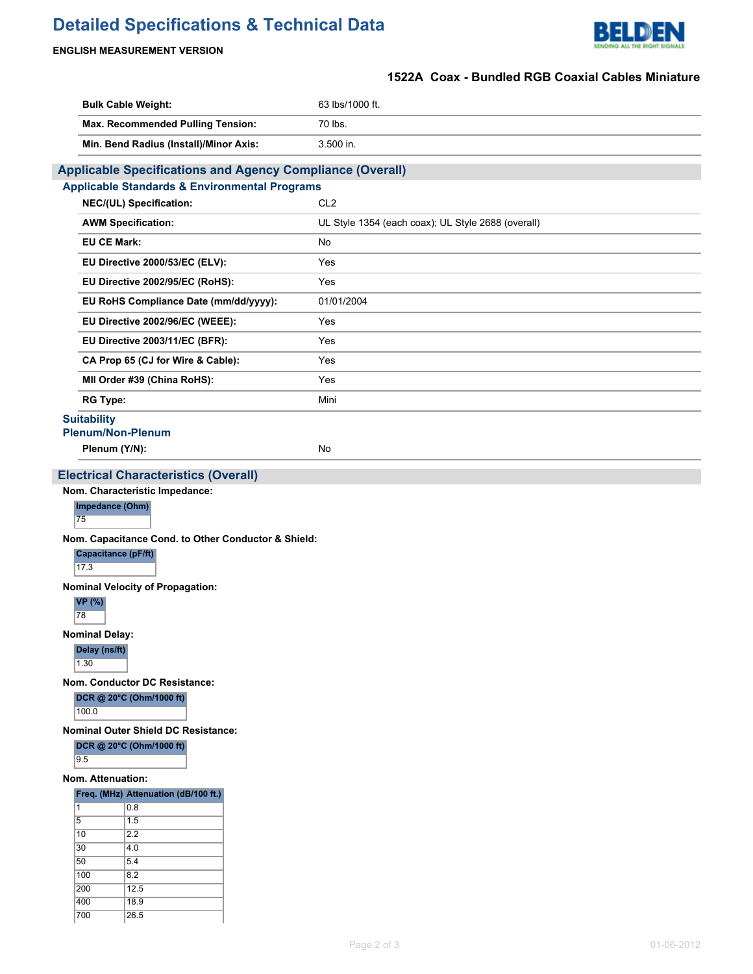# **Detailed Specifications & Technical Data**



## **ENGLISH MEASUREMENT VERSION**

## **1522A Coax - Bundled RGB Coaxial Cables Miniature**

|                                                                                        |                                                                                                                                                                                    | 1522A Coax - Bundled RGB Coaxial Cables Miniature  |
|----------------------------------------------------------------------------------------|------------------------------------------------------------------------------------------------------------------------------------------------------------------------------------|----------------------------------------------------|
|                                                                                        | <b>Bulk Cable Weight:</b>                                                                                                                                                          | 63 lbs/1000 ft.                                    |
|                                                                                        | Max. Recommended Pulling Tension:                                                                                                                                                  | 70 lbs.                                            |
|                                                                                        | Min. Bend Radius (Install)/Minor Axis:                                                                                                                                             | 3.500 in.                                          |
|                                                                                        | <b>Applicable Specifications and Agency Compliance (Overall)</b>                                                                                                                   |                                                    |
|                                                                                        | <b>Applicable Standards &amp; Environmental Programs</b>                                                                                                                           |                                                    |
|                                                                                        | NEC/(UL) Specification:                                                                                                                                                            | CL <sub>2</sub>                                    |
|                                                                                        | <b>AWM Specification:</b>                                                                                                                                                          | UL Style 1354 (each coax); UL Style 2688 (overall) |
|                                                                                        | <b>EU CE Mark:</b>                                                                                                                                                                 | No                                                 |
|                                                                                        | EU Directive 2000/53/EC (ELV):                                                                                                                                                     | Yes                                                |
|                                                                                        | EU Directive 2002/95/EC (RoHS):                                                                                                                                                    | Yes                                                |
|                                                                                        | EU RoHS Compliance Date (mm/dd/yyyy):                                                                                                                                              | 01/01/2004                                         |
|                                                                                        | EU Directive 2002/96/EC (WEEE):                                                                                                                                                    | Yes                                                |
|                                                                                        | EU Directive 2003/11/EC (BFR):                                                                                                                                                     | Yes                                                |
|                                                                                        | CA Prop 65 (CJ for Wire & Cable):                                                                                                                                                  | Yes                                                |
|                                                                                        | MII Order #39 (China RoHS):                                                                                                                                                        | Yes                                                |
| <b>RG Type:</b>                                                                        |                                                                                                                                                                                    | Mini                                               |
| <b>Suitability</b>                                                                     |                                                                                                                                                                                    |                                                    |
|                                                                                        | <b>Plenum/Non-Plenum</b>                                                                                                                                                           |                                                    |
|                                                                                        | Plenum (Y/N):                                                                                                                                                                      | No                                                 |
| 17.3<br><b>VP</b> (%)<br>78<br><b>Nominal Delay:</b><br>Delay (ns/ft)<br>1.30<br>100.0 | Nom. Capacitance Cond. to Other Conductor & Shield:<br>Capacitance (pF/ft)<br><b>Nominal Velocity of Propagation:</b><br>Nom. Conductor DC Resistance:<br>DCR @ 20°C (Ohm/1000 ft) |                                                    |
|                                                                                        | <b>Nominal Outer Shield DC Resistance:</b><br>DCR @ 20°C (Ohm/1000 ft)                                                                                                             |                                                    |
| 9.5                                                                                    |                                                                                                                                                                                    |                                                    |
|                                                                                        | Nom. Attenuation:                                                                                                                                                                  |                                                    |
|                                                                                        | Freq. (MHz) Attenuation (dB/100 ft.)                                                                                                                                               |                                                    |
| 11<br>5                                                                                | 0.8<br>1.5                                                                                                                                                                         |                                                    |
| 10                                                                                     | 2.2                                                                                                                                                                                |                                                    |
| 30                                                                                     | 4.0                                                                                                                                                                                |                                                    |
| 50                                                                                     | 5.4                                                                                                                                                                                |                                                    |
| 100<br>200                                                                             | 8.2<br>12.5                                                                                                                                                                        |                                                    |
| 400                                                                                    | 18.9                                                                                                                                                                               |                                                    |
| 700                                                                                    | 26.5                                                                                                                                                                               |                                                    |